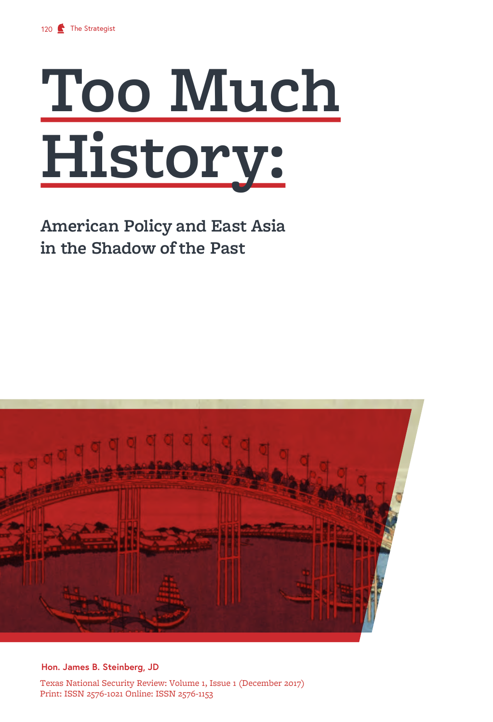

## **American Policy and East Asia in the Shadow of the Past**



**Hon. James B. Steinberg, JD**

Texas National Security Review: Volume 1, Issue 1 (December 2017) Print: ISSN 2576-1021 Online: ISSN 2576-1153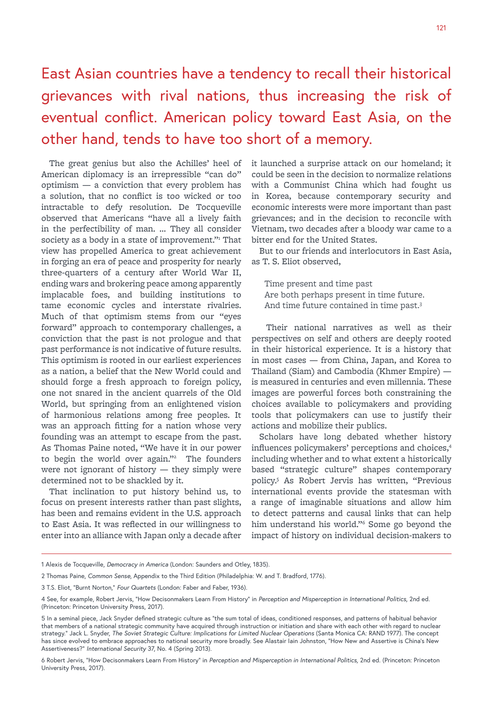## East Asian countries have a tendency to recall their historical grievances with rival nations, thus increasing the risk of eventual conflict. American policy toward East Asia, on the other hand, tends to have too short of a memory.

The great genius but also the Achilles' heel of American diplomacy is an irrepressible "can do" optimism — a conviction that every problem has a solution, that no conflict is too wicked or too intractable to defy resolution. De Tocqueville observed that Americans "have all a lively faith in the perfectibility of man. ... They all consider society as a body in a state of improvement." That view has propelled America to great achievement in forging an era of peace and prosperity for nearly three-quarters of a century after World War II, ending wars and brokering peace among apparently implacable foes, and building institutions to tame economic cycles and interstate rivalries. Much of that optimism stems from our "eyes forward" approach to contemporary challenges, a conviction that the past is not prologue and that past performance is not indicative of future results. This optimism is rooted in our earliest experiences as a nation, a belief that the New World could and should forge a fresh approach to foreign policy, one not snared in the ancient quarrels of the Old World, but springing from an enlightened vision of harmonious relations among free peoples. It was an approach fitting for a nation whose very founding was an attempt to escape from the past. As Thomas Paine noted, "We have it in our power to begin the world over again."<sup>2</sup> The founders were not ignorant of history — they simply were determined not to be shackled by it.

That inclination to put history behind us, to focus on present interests rather than past slights, has been and remains evident in the U.S. approach to East Asia. It was reflected in our willingness to enter into an alliance with Japan only a decade after

it launched a surprise attack on our homeland; it could be seen in the decision to normalize relations with a Communist China which had fought us in Korea, because contemporary security and economic interests were more important than past grievances; and in the decision to reconcile with Vietnam, two decades after a bloody war came to a bitter end for the United States.

But to our friends and interlocutors in East Asia, as T. S. Eliot observed,

Time present and time past Are both perhaps present in time future. And time future contained in time past.3

 Their national narratives as well as their perspectives on self and others are deeply rooted in their historical experience. It is a history that in most cases — from China, Japan, and Korea to Thailand (Siam) and Cambodia (Khmer Empire) is measured in centuries and even millennia. These images are powerful forces both constraining the choices available to policymakers and providing tools that policymakers can use to justify their actions and mobilize their publics.

Scholars have long debated whether history influences policymakers' perceptions and choices,4 including whether and to what extent a historically based "strategic culture" shapes contemporary policy.5 As Robert Jervis has written, "Previous international events provide the statesman with a range of imaginable situations and allow him to detect patterns and causal links that can help him understand his world."6 Some go beyond the impact of history on individual decision-makers to

<sup>1</sup> Alexis de Tocqueville, *Democracy in America* (London: Saunders and Otley, 1835).

<sup>2</sup> Thomas Paine, *Common Sense*, Appendix to the Third Edition (Philadelphia: W. and T. Bradford, 1776).

<sup>3</sup> T.S. Eliot, "Burnt Norton," *Four Quartets* (London: Faber and Faber, 1936).

<sup>4</sup> See, for example, Robert Jervis, "How Decisonmakers Learn From History" in *Perception and Misperception in International Politics,* 2nd ed. (Princeton: Princeton University Press, 2017).

<sup>5</sup> In a seminal piece, Jack Snyder defined strategic culture as "the sum total of ideas, conditioned responses, and patterns of habitual behavior that members of a national strategic community have acquired through instruction or initiation and share with each other with regard to nuclear strategy." Jack L. Snyder, *The Soviet Strategic Culture: Implications for Limited Nuclear Operations* (Santa Monica CA: RAND 1977). The concept has since evolved to embrace approaches to national security more broadly. See Alastair Iain Johnston, "How New and Assertive is China's New Assertiveness?" *International Security* 37, No. 4 (Spring 2013).

<sup>6</sup> Robert Jervis, "How Decisonmakers Learn From History" in *Perception and Misperception in International Politics,* 2nd ed. (Princeton: Princeton University Press, 2017).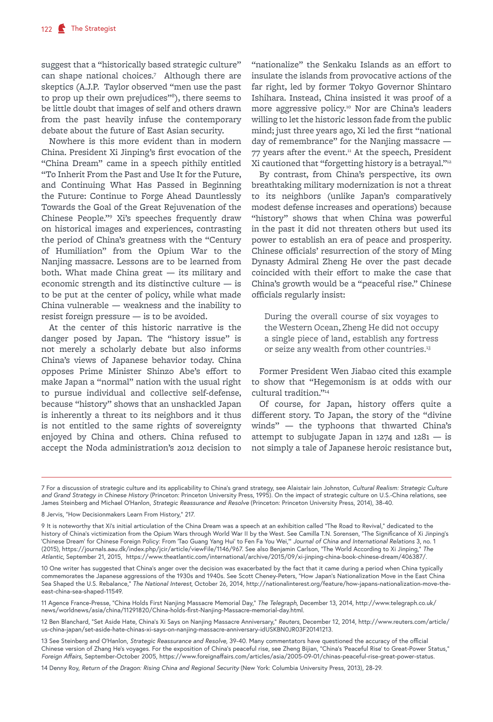suggest that a "historically based strategic culture" can shape national choices.7 Although there are skeptics (A.J.P. Taylor observed "men use the past to prop up their own prejudices"<sup>8</sup>), there seems to be little doubt that images of self and others drawn from the past heavily infuse the contemporary debate about the future of East Asian security.

Nowhere is this more evident than in modern China. President Xi Jinping's first evocation of the "China Dream" came in a speech pithily entitled "To Inherit From the Past and Use It for the Future, and Continuing What Has Passed in Beginning the Future: Continue to Forge Ahead Dauntlessly Towards the Goal of the Great Rejuvenation of the Chinese People."9 Xi's speeches frequently draw on historical images and experiences, contrasting the period of China's greatness with the "Century of Humiliation" from the Opium War to the Nanjing massacre. Lessons are to be learned from both. What made China great — its military and economic strength and its distinctive culture — is to be put at the center of policy, while what made China vulnerable — weakness and the inability to resist foreign pressure — is to be avoided.

At the center of this historic narrative is the danger posed by Japan. The "history issue" is not merely a scholarly debate but also informs China's views of Japanese behavior today. China opposes Prime Minister Shinzo Abe's effort to make Japan a "normal" nation with the usual right to pursue individual and collective self-defense, because "history" shows that an unshackled Japan is inherently a threat to its neighbors and it thus is not entitled to the same rights of sovereignty enjoyed by China and others. China refused to accept the Noda administration's 2012 decision to

"nationalize" the Senkaku Islands as an effort to insulate the islands from provocative actions of the far right, led by former Tokyo Governor Shintaro Ishihara. Instead, China insisted it was proof of a more aggressive policy.<sup>10</sup> Nor are China's leaders willing to let the historic lesson fade from the public mind; just three years ago, Xi led the first "national day of remembrance" for the Nanjing massacre — 77 years after the event.<sup>11</sup> At the speech, President Xi cautioned that "forgetting history is a betrayal."12

By contrast, from China's perspective, its own breathtaking military modernization is not a threat to its neighbors (unlike Japan's comparatively modest defense increases and operations) because "history" shows that when China was powerful in the past it did not threaten others but used its power to establish an era of peace and prosperity. Chinese officials' resurrection of the story of Ming Dynasty Admiral Zheng He over the past decade coincided with their effort to make the case that China's growth would be a "peaceful rise." Chinese officials regularly insist:

During the overall course of six voyages to the Western Ocean, Zheng He did not occupy a single piece of land, establish any fortress or seize any wealth from other countries.<sup>13</sup>

Former President Wen Jiabao cited this example to show that "Hegemonism is at odds with our cultural tradition."14

Of course, for Japan, history offers quite a different story. To Japan, the story of the "divine winds" — the typhoons that thwarted China's attempt to subjugate Japan in 1274 and  $1281 - is$ not simply a tale of Japanese heroic resistance but,

## 8 Jervis, "How Decisionmakers Learn From History," 217.

9 It is noteworthy that Xi's initial articulation of the China Dream was a speech at an exhibition called "The Road to Revival," dedicated to the history of China's victimization from the Opium Wars through World War II by the West. See Camilla T.N. Sorensen, "The Significance of Xi Jinping's 'Chinese Dream' for Chinese Foreign Policy: From 'Tao Guang Yang Hui' to Fen Fa You Wei,'" *Journal of China and International Relations* 3, no. 1 (2015), https://journals.aau.dk/index.php/jcir/article/viewFile/1146/967. See also Benjamin Carlson, "The World According to Xi Jinping," *The Atlantic*, September 21, 2015, https://www.theatlantic.com/international/archive/2015/09/xi-jinping-china-book-chinese-dream/406387/.

10 One writer has suggested that China's anger over the decision was exacerbated by the fact that it came during a period when China typically commemorates the Japanese aggressions of the 1930s and 1940s. See Scott Cheney-Peters, "How Japan's Nationalization Move in the East China Sea Shaped the U.S. Rebalance," *The National Interest*, October 26, 2014, http://nationalinterest.org/feature/how-japans-nationalization-move-theeast-china-sea-shaped-11549.

11 Agence France-Presse, "China Holds First Nanjing Massacre Memorial Day," *The Telegraph*, December 13, 2014, http://www.telegraph.co.uk/ news/worldnews/asia/china/11291820/China-holds-first-Nanjing-Massacre-memorial-day.html.

12 Ben Blanchard, "Set Aside Hate, China's Xi Says on Nanjing Massacre Anniversary," *Reuters*, December 12, 2014, http://www.reuters.com/article/ us-china-japan/set-aside-hate-chinas-xi-says-on-nanjing-massacre-anniversary-idUSKBN0JR03F20141213.

13 See Steinberg and O'Hanlon, *Strategic Reassurance and Resolve,* 39-40. Many commentators have questioned the accuracy of the official Chinese version of Zhang He's voyages. For the exposition of China's peaceful rise, see Zheng Bijian, "China's 'Peaceful Rise' to Great-Power Status," *Foreign Affairs*, September-October 2005, https://www.foreignaffairs.com/articles/asia/2005-09-01/chinas-peaceful-rise-great-power-status.

14 Denny Roy, *Return of the Dragon: Rising China and Regional Security* (New York: Columbia University Press, 2013), 28-29.

<sup>7</sup> For a discussion of strategic culture and its applicability to China's grand strategy, see Alaistair Iain Johnston, *Cultural Realism: Strategic Culture and Grand Strategy in Chinese History* (Princeton: Princeton University Press, 1995). On the impact of strategic culture on U.S.-China relations, see James Steinberg and Michael O'Hanlon, *Strategic Reassurance and Resolve* (Princeton: Princeton University Press, 2014), 38-40.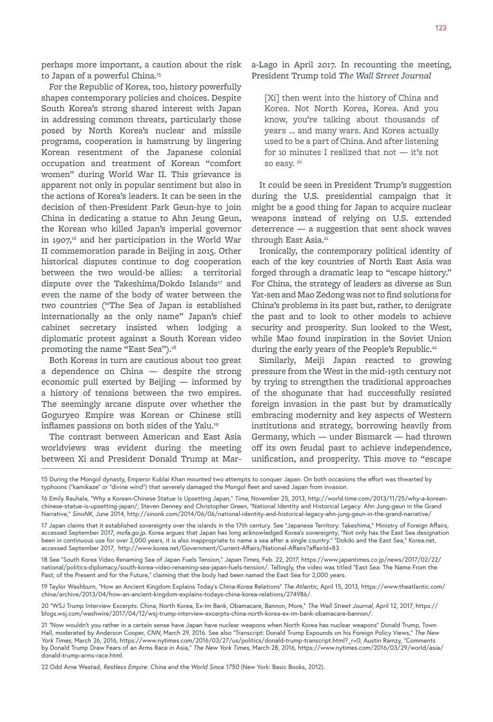perhaps more important, a caution about the risk to Japan of a powerful China.<sup>15</sup>

For the Republic of Korea, too, history powerfully shapes contemporary policies and choices. Despite South Korea's strong shared interest with Japan in addressing common threats, particularly those posed by North Korea's nuclear and missile programs, cooperation is hamstrung by lingering Korean resentment of the Japanese colonial occupation and treatment of Korean "comfort women" during World War II. This grievance is apparent not only in popular sentiment but also in the actions of Korea's leaders. It can be seen in the decision of then-President Park Geun-hye to join China in dedicating a statue to Ahn Jeung Geun, the Korean who killed Japan's imperial governor in 1907, $16$  and her participation in the World War II commemoration parade in Beijing in 2015. Other historical disputes continue to dog cooperation between the two would-be allies: a territorial dispute over the Takeshima/Dokdo Islands<sup>17</sup> and even the name of the body of water between the two countries ("The Sea of Japan is established internationally as the only name" Japan's chief cabinet secretary insisted when lodging a diplomatic protest against a South Korean video promoting the name "East Sea").<sup>18</sup>

Both Koreas in turn are cautious about too great a dependence on China — despite the strong economic pull exerted by Beijing — informed by a history of tensions between the two empires. The seemingly arcane dispute over whether the Goguryeo Empire was Korean or Chinese still inflames passions on both sides of the Yalu.<sup>19</sup>

The contrast between American and East Asia worldviews was evident during the meeting between Xi and President Donald Trump at Mara-Lago in April 2017. In recounting the meeting, President Trump told *The Wall Street Journal*

[Xi] then went into the history of China and Korea. Not North Korea, Korea. And you know, you're talking about thousands of years … and many wars. And Korea actually used to be a part of China. And after listening for 10 minutes I realized that not — it's not so easy.<sup>20</sup>

It could be seen in President Trump's suggestion during the U.S. presidential campaign that it might be a good thing for Japan to acquire nuclear weapons instead of relying on U.S. extended deterrence — a suggestion that sent shock waves through East Asia.<sup>21</sup>

Ironically, the contemporary political identity of each of the key countries of North East Asia was forged through a dramatic leap to "escape history." For China, the strategy of leaders as diverse as Sun Yat-sen and Mao Zedong was not to find solutions for China's problems in its past but, rather, to denigrate the past and to look to other models to achieve security and prosperity. Sun looked to the West, while Mao found inspiration in the Soviet Union during the early years of the People's Republic.<sup>22</sup>

Similarly, Meiji Japan reacted to growing pressure from the West in the mid-19th century not by trying to strengthen the traditional approaches of the shogunate that had successfully resisted foreign invasion in the past but by dramatically embracing modernity and key aspects of Western institutions and strategy, borrowing heavily from Germany, which — under Bismarck — had thrown off its own feudal past to achieve independence, unification, and prosperity. This move to "escape

18 See "South Korea Video Renaming Sea of Japan Fuels Tension," *Japan Times,* Feb. 22, 2017, https://www.japantimes.co.jp/news/2017/02/22/ national/politics-diplomacy/south-korea-video-renaming-sea-japan-fuels-tension/. Tellingly, the video was titled "East Sea: The Name From the Past, of the Present and for the Future," claiming that the body had been named the East Sea for 2,000 years.

19 Taylor Washburn, "How an Ancient Kingdom Explains Today's China-Korea Relations" *The Atlantic*, April 15, 2013, https://www.theatlantic.com/ china/archive/2013/04/how-an-ancient-kingdom-explains-todays-china-korea-relations/274986/.

20 "WSJ Trump Interview Excerpts: China, North Korea, Ex-Im Bank, Obamacare, Bannon, More," *The Wall Street Journal*, April 12, 2017, https:// blogs.wsj.com/washwire/2017/04/12/wsj-trump-interview-excerpts-china-north-korea-ex-im-bank-obamacare-bannon/.

22 Odd Arne Westad, *Restless Empire: China and the World Since 1750* (New York: Basic Books, 2012).

<sup>15</sup> During the Mongol dynasty, Emperor Kublai Khan mounted two attempts to conquer Japan. On both occasions the effort was thwarted by typhoons ("kamikaze" or "divine wind") that severely damaged the Mongol fleet and saved Japan from invasion.

<sup>16</sup> Emily Rauhala, "Why a Korean-Chinese Statue Is Upsetting Japan," *Time*, November 25, 2013, http://world.time.com/2013/11/25/why-a-koreanchinese-statue-is-upsetting-japan/; Steven Denney and Christopher Green, "National Identity and Historical Legacy: Ahn Jung-geun in the Grand Narrative," *SinoNK*, June 2014, http://sinonk.com/2014/06/06/national-identity-and-historical-legacy-ahn-jung-geun-in-the-grand-narrative/

<sup>17</sup> Japan claims that it established sovereignty over the islands in the 17th century. See "Japanese Territory: Takeshima," Ministry of Foreign Affairs, accessed September 2017, *mofa.go.jp*. Korea argues that Japan has long acknowledged Korea's sovereignty; "Not only has the East Sea designation been in continuous use for over 2,000 years, it is also inappropriate to name a sea after a single country." "Dokdo and the East Sea," Korea.net, accessed September 2017, http://www.korea.net/Government/Current-Affairs/National-Affairs?affairId=83.

<sup>21 &</sup>quot;Now wouldn't you rather in a certain sense have Japan have nuclear weapons when North Korea has nuclear weapons" Donald Trump, Town Hall, moderated by Anderson Cooper, *CNN*, March 29, 2016. See also "Transcript: Donald Trump Expounds on his Foreign Policy Views," *The New York Times*, March 26, 2016, https://www.nytimes.com/2016/03/27/us/politics/donald-trump-transcript.html?\_r=0; Austin Ramzy, "Comments by Donald Trump Draw Fears of an Arms Race in Asia," *The New York Times*, March 28, 2016, https://www.nytimes.com/2016/03/29/world/asia/ donald-trump-arms-race.html.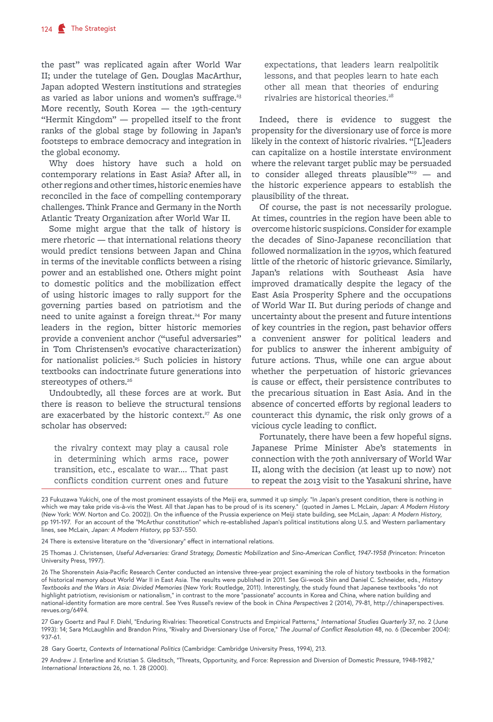the past" was replicated again after World War II; under the tutelage of Gen. Douglas MacArthur, Japan adopted Western institutions and strategies as varied as labor unions and women's suffrage.<sup>23</sup> More recently, South Korea — the 19th-century "Hermit Kingdom" — propelled itself to the front ranks of the global stage by following in Japan's footsteps to embrace democracy and integration in the global economy.

Why does history have such a hold on contemporary relations in East Asia? After all, in other regions and other times, historic enemies have reconciled in the face of compelling contemporary challenges. Think France and Germany in the North Atlantic Treaty Organization after World War II.

Some might argue that the talk of history is mere rhetoric — that international relations theory would predict tensions between Japan and China in terms of the inevitable conflicts between a rising power and an established one. Others might point to domestic politics and the mobilization effect of using historic images to rally support for the governing parties based on patriotism and the need to unite against a foreign threat.<sup>24</sup> For many leaders in the region, bitter historic memories provide a convenient anchor ("useful adversaries" in Tom Christensen's evocative characterization) for nationalist policies.<sup>25</sup> Such policies in history textbooks can indoctrinate future generations into stereotypes of others.<sup>26</sup>

Undoubtedly, all these forces are at work. But there is reason to believe the structural tensions are exacerbated by the historic context.<sup>27</sup> As one scholar has observed:

the rivalry context may play a causal role in determining which arms race, power transition, etc., escalate to war.... That past conflicts condition current ones and future

expectations, that leaders learn realpolitik lessons, and that peoples learn to hate each other all mean that theories of enduring rivalries are historical theories.<sup>28</sup>

Indeed, there is evidence to suggest the propensity for the diversionary use of force is more likely in the context of historic rivalries. "[L]eaders can capitalize on a hostile interstate environment where the relevant target public may be persuaded to consider alleged threats plausible" $^{229}$  - and the historic experience appears to establish the plausibility of the threat.

Of course, the past is not necessarily prologue. At times, countries in the region have been able to overcome historic suspicions. Consider for example the decades of Sino-Japanese reconciliation that followed normalization in the 1970s, which featured little of the rhetoric of historic grievance. Similarly, Japan's relations with Southeast Asia have improved dramatically despite the legacy of the East Asia Prosperity Sphere and the occupations of World War II. But during periods of change and uncertainty about the present and future intentions of key countries in the region, past behavior offers a convenient answer for political leaders and for publics to answer the inherent ambiguity of future actions. Thus, while one can argue about whether the perpetuation of historic grievances is cause or effect, their persistence contributes to the precarious situation in East Asia. And in the absence of concerted efforts by regional leaders to counteract this dynamic, the risk only grows of a vicious cycle leading to conflict.

Fortunately, there have been a few hopeful signs. Japanese Prime Minister Abe's statements in connection with the 70th anniversary of World War II, along with the decision (at least up to now) not to repeat the 2013 visit to the Yasakuni shrine, have

23 Fukuzawa Yukichi, one of the most prominent essayists of the Meiji era, summed it up simply: "In Japan's present condition, there is nothing in which we may take pride vis-à-vis the West. All that Japan has to be proud of is its scenery." (quoted in James L. McLain, *Japan: A Modern History*  (New York: W.W. Norton and Co. 2002)). On the influence of the Prussia experience on Meiji state building, see McLain, *Japan: A Modern History*, pp 191-197. For an account of the "McArthur constitution" which re-established Japan's political institutions along U.S. and Western parliamentary lines, see McLain, *Japan: A Modern History*, pp 537-550.

24 There is extensive literature on the "diversionary" effect in international relations.

25 Thomas J. Christensen, *Useful Adversaries: Grand Strategy, Domestic Mobilization and Sino-American Conflict, 1947-1958 (*Princeton: Princeton University Press, 1997).

26 The Shorenstein Asia-Pacific Research Center conducted an intensive three-year project examining the role of history textbooks in the formation of historical memory about World War II in East Asia. The results were published in 2011. See Gi-wook Shin and Daniel C. Schneider, eds., *History Textbooks and the Wars in Asia: Divided Memories* (New York: Routledge, 2011). Interestingly, the study found that Japanese textbooks "do not highlight patriotism, revisionism or nationalism," in contrast to the more "passionate" accounts in Korea and China, where nation building and national-identity formation are more central. See Yves Russel's review of the book in *China Perspectives* 2 (2014), 79-81, http://chinaperspectives. revues.org/6494.

27 Gary Goertz and Paul F. Diehl, "Enduring Rivalries: Theoretical Constructs and Empirical Patterns," *International Studies Quarterly* 37, no. 2 (June 1993): 14; Sara McLaughlin and Brandon Prins, "Rivalry and Diversionary Use of Force," *The Journal of Conflict Resolution* 48, no. 6 (December 2004): 937-61.

28 Gary Goertz, *Contexts of International Politics* (Cambridge: Cambridge University Press, 1994), 213.

29 Andrew J. Enterline and Kristian S. Gleditsch, "Threats, Opportunity, and Force: Repression and Diversion of Domestic Pressure, 1948-1982," *International Interactions* 26, no. 1. 28 (2000).